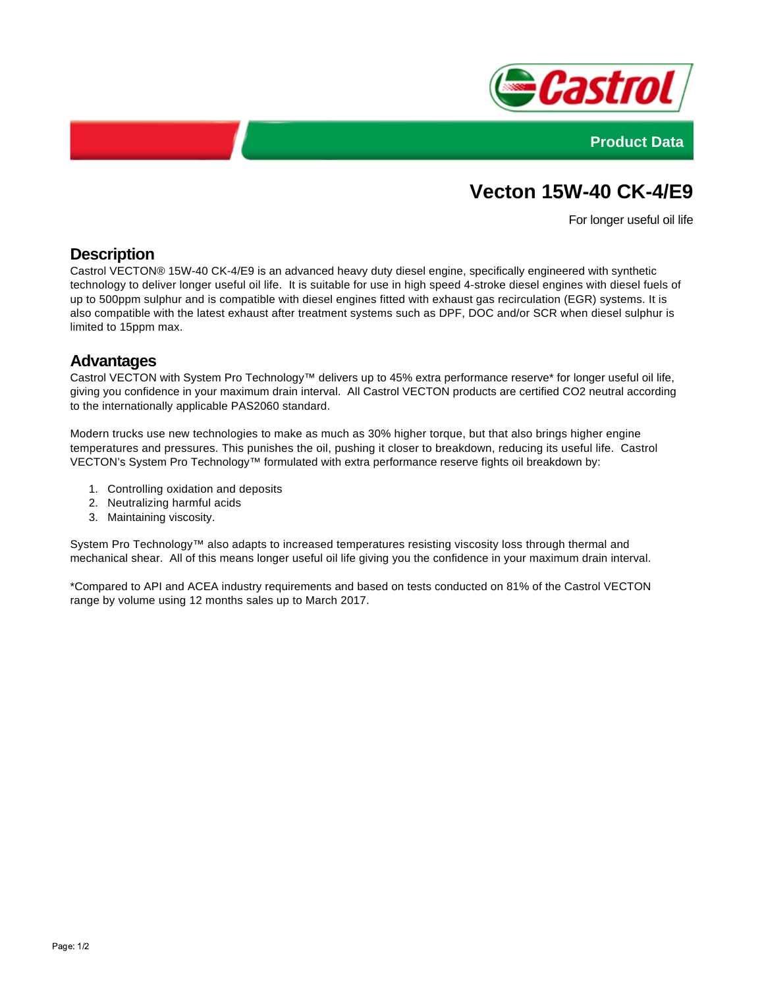



# **Vecton 15W-40 CK-4/E9**

For longer useful oil life

### **Description**

Castrol VECTON® 15W-40 CK-4/E9 is an advanced heavy duty diesel engine, specifically engineered with synthetic technology to deliver longer useful oil life. It is suitable for use in high speed 4-stroke diesel engines with diesel fuels of up to 500ppm sulphur and is compatible with diesel engines fitted with exhaust gas recirculation (EGR) systems. It is also compatible with the latest exhaust after treatment systems such as DPF, DOC and/or SCR when diesel sulphur is limited to 15ppm max.

#### **Advantages**

Castrol VECTON with System Pro Technology™ delivers up to 45% extra performance reserve\* for longer useful oil life, giving you confidence in your maximum drain interval. All Castrol VECTON products are certified CO2 neutral according to the internationally applicable PAS2060 standard.

Modern trucks use new technologies to make as much as 30% higher torque, but that also brings higher engine temperatures and pressures. This punishes the oil, pushing it closer to breakdown, reducing its useful life. Castrol VECTON's System Pro Technology™ formulated with extra performance reserve fights oil breakdown by:

- 1. Controlling oxidation and deposits
- 2. Neutralizing harmful acids
- 3. Maintaining viscosity.

System Pro Technology™ also adapts to increased temperatures resisting viscosity loss through thermal and mechanical shear. All of this means longer useful oil life giving you the confidence in your maximum drain interval.

\*Compared to API and ACEA industry requirements and based on tests conducted on 81% of the Castrol VECTON range by volume using 12 months sales up to March 2017.